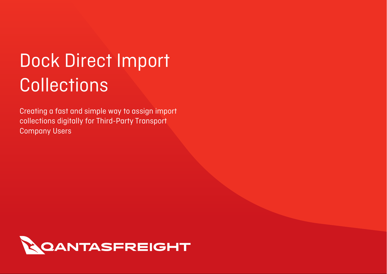# Dock Direct Import **Collections**

Creating a fast and simple way to assign import collections digitally for Third-Party Transport Company Users

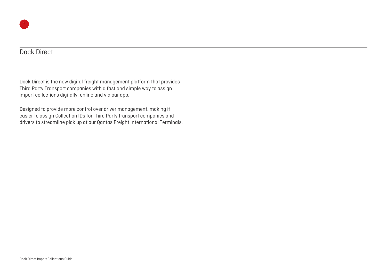#### Dock Direct

Dock Direct is the new digital freight management platform that provides Third Party Transport companies with a fast and simple way to assign import collections digitally, online and via our app.

Designed to provide more control over driver management, making it easier to assign Collection IDs for Third Party transport companies and drivers to streamline pick up at our Qantas Freight International Terminals.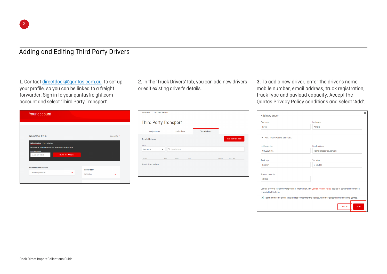## Adding and Editing Third Party Drivers

1. Contact [directdock@qantas.com.au,](mailto:directdock@qantas.com.au) to set up your profile, so you can be linked to a freight forwarder. Sign in to your qantasfreight.com account and select 'Third Party Transport'.

2. In the 'Truck Drivers' tab, you can add new drivers or edit existing driver's details.

3. To add a new driver, enter the driver's name, mobile number, email address, truck registration, truck type and payload capacity. Accept the Qantas Privacy Policy conditions and select 'Add'.

| Your account                                                                                                           |                          |                |                            |
|------------------------------------------------------------------------------------------------------------------------|--------------------------|----------------|----------------------------|
|                                                                                                                        |                          |                |                            |
| Welcome, Kylie                                                                                                         |                          |                | Your profile $\rightarrow$ |
| <b>Online tracking</b><br><b>Flight schedule</b><br>Get real-time visibility of where your shipment is 24 hours a day. |                          |                |                            |
| Air waybill number<br>eg. 081-12345678                                                                                 | <b>TRACK AIR WAYBILL</b> |                |                            |
|                                                                                                                        |                          |                |                            |
| Your account functions                                                                                                 |                          | Need Help?     |                            |
| <b>Third Party Transport</b>                                                                                           | $\rightarrow$            | Contact us     | ٠                          |
|                                                                                                                        |                          | مبادله بإمليته |                            |

| Lodgements           |              | <b>Collections</b> | <b>Truck Drivers</b> |                       |
|----------------------|--------------|--------------------|----------------------|-----------------------|
| <b>Truck Drivers</b> |              |                    |                      | <b>ADD NEW DRIVER</b> |
| Sort by              |              |                    |                      |                       |
| Last name            | $\checkmark$ | Q Search drivers   |                      |                       |
|                      |              |                    |                      |                       |
|                      |              |                    |                      |                       |

| First nome                                       | Last name                                                                                                      |
|--------------------------------------------------|----------------------------------------------------------------------------------------------------------------|
| Kylie                                            | Antella                                                                                                        |
| <b>AUSTRALIA POSTAL SERVICES</b><br>$\checkmark$ |                                                                                                                |
| Mobile number                                    | <b>Email address</b>                                                                                           |
| 0402128191                                       | kantella@gantas.com.au                                                                                         |
| Truck rego                                       | <b>Truck type</b>                                                                                              |
| <b>KA1234</b>                                    | <b>B</b> Double                                                                                                |
| Payload capacity                                 |                                                                                                                |
| 10000                                            |                                                                                                                |
| provided in this form.                           | Qantas protects the privacy of personal information. The Qantas Privacy Policy applies to personal information |
|                                                  | I confirm that the driver has provided consent for the disclosure of their personal information to Qantas.     |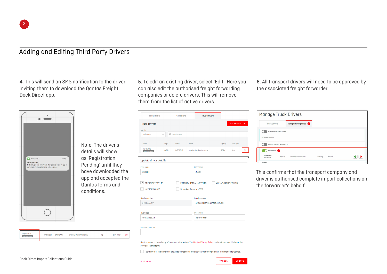#### Adding and Editing Third Party Drivers

4. This will send an SMS notification to the driver inviting them to download the Qantas Freight Dock Direct app.



Note: The driver's details will show as 'Registration Pending' until they have downloaded the app and accepted the Qantas terms and conditions.

| Swopnil JOSHI | mh02cd2924 | 0491827797 | swapnil.joshi@qantas.com.au | КC | Semi-trailer | Edit |
|---------------|------------|------------|-----------------------------|----|--------------|------|
|               |            |            |                             |    |              |      |

5. To edit an existing driver, select 'Edit.' Here you can also edit the authorised freight forwarding companies or delete drivers. This will remove them from the list of active drivers.

| Lodgements                                                                                                                                                                                                                                             |             | Collections      |                              | <b>Truck Drivers</b>        |          |                       |      |
|--------------------------------------------------------------------------------------------------------------------------------------------------------------------------------------------------------------------------------------------------------|-------------|------------------|------------------------------|-----------------------------|----------|-----------------------|------|
| <b>Truck Drivers</b>                                                                                                                                                                                                                                   |             |                  |                              |                             |          | <b>ADD NEW DRIVER</b> |      |
| Sort by                                                                                                                                                                                                                                                |             |                  |                              |                             |          |                       |      |
| Lost nome                                                                                                                                                                                                                                              |             | Q Search drivers |                              |                             |          |                       |      |
| <b>Driver</b>                                                                                                                                                                                                                                          | <b>Rego</b> | Mobile           | Emall                        |                             | Capacity | <b>Truck Type</b>     |      |
| Test 20oPRIL<br>Registration pending                                                                                                                                                                                                                   | AA765       | 0452129167       | ranvijay.singh@qantas.com.au |                             | 1090kg   | long                  | Edit |
| <b>Update driver details</b>                                                                                                                                                                                                                           |             |                  |                              |                             |          |                       |      |
| First name                                                                                                                                                                                                                                             |             |                  | Last name                    |                             |          |                       |      |
| Swapnil                                                                                                                                                                                                                                                |             |                  | <b>JOSHI</b>                 |                             |          |                       |      |
| Mobile number                                                                                                                                                                                                                                          |             |                  |                              | <b>Email address</b>        |          |                       |      |
| 0491827797                                                                                                                                                                                                                                             |             |                  |                              | swapnil.joshi@qantas.com.au |          |                       |      |
| Truck rego                                                                                                                                                                                                                                             |             |                  | <b>Truck type</b>            |                             |          |                       |      |
| mh02cd2924                                                                                                                                                                                                                                             |             |                  |                              | Semi-trailer                |          |                       |      |
| Payload capacity                                                                                                                                                                                                                                       |             |                  |                              |                             |          |                       |      |
|                                                                                                                                                                                                                                                        |             |                  |                              |                             |          |                       |      |
|                                                                                                                                                                                                                                                        |             |                  |                              |                             |          |                       |      |
|                                                                                                                                                                                                                                                        |             |                  |                              |                             |          |                       |      |
| Qantas protects the privacy of personal information. The Qantas Privacy Policy applies to personal information<br>provided in this form.<br>I confirm that the driver has provided consent for the disclosure of their personal information to Qantas. |             |                  |                              |                             |          |                       |      |

6. All transport drivers will need to be approved by the associated freight forwarder.

| <b>Manage Truck Drivers</b>                                            |                        |         |                 |
|------------------------------------------------------------------------|------------------------|---------|-----------------|
| <b>Truck Drivers</b>                                                   | Transport Companies    |         |                 |
| WYMAP GROUP PTY LTD (SYD)<br>No drivers available.                     |                        |         |                 |
| DIRECT COURIERS (SYD) PTY LTD                                          |                        |         |                 |
| BROWNWAYS <sup>1</sup><br><b>Kylie Antello</b><br>KA1234<br>0402128191 | kantella@qantas.com.au | 10000kg | <b>B</b> Double |

This confirms that the transport company and driver is authorised complete import collections on the forwarder's behalf.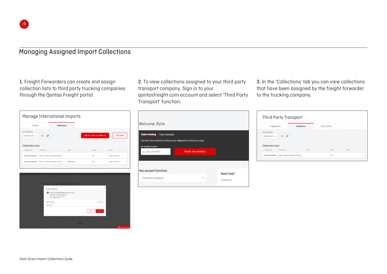### Managing Assigned Import Collections

1. Freight Forwarders can create and assign collection lists to third party trucking companies through the Qantas Freight portal.

2. To view collections assigned to your third party transport company, Sign in to your qantasfreight.com account and select 'Third Party Transport' function.

3. In the 'Collections' tab you can view collections that have been assigned by the freight forwarder to the trucking company.

| Manage International Imports                                  |                                         |                    |                  |                               |               |                   |
|---------------------------------------------------------------|-----------------------------------------|--------------------|------------------|-------------------------------|---------------|-------------------|
| <b>Imports</b>                                                |                                         | <b>Collections</b> |                  |                               |               |                   |
| Sort Results By<br>Collection ID v<br><b>Collection Lists</b> | F.<br>$\equiv$                          |                    |                  | <b>CREATE COLLECTION LIST</b> |               | <b>TRACKING</b>   |
| Collection ID                                                 | Freight Info                            |                    | <b>Driver</b>    | Pickup                        | <b>Status</b> |                   |
| 220512SYD00003                                                | AWBs: 1   Pieces: 38   Weight: 599.8 kg |                    | ٠                | SYD                           |               | Ready to allocate |
| 220512SYD00004                                                | AWBs: 1   Pieces: 89   Weight: 978.5 kg |                    | <b>RROWNWAYS</b> | <b>SYD</b>                    |               | Ready to allocate |
|                                                               |                                         |                    |                  |                               |               |                   |



| <b>Online tracking</b><br><b>Flight schedule</b> |                                                                    |  |
|--------------------------------------------------|--------------------------------------------------------------------|--|
|                                                  | Get real-time visibility of where your shipment is 24 hours a day. |  |
| Air waybill number<br>eq. 081-12345678           | <b>TRACK AIR WAYBILL</b>                                           |  |
|                                                  |                                                                    |  |
|                                                  |                                                                    |  |

|                                                               | <b>Third Party Transport</b>            |                    |                      |        |
|---------------------------------------------------------------|-----------------------------------------|--------------------|----------------------|--------|
| Lodgements                                                    |                                         | <b>Collections</b> | <b>Truck Drivers</b> |        |
| Sort Results By<br>Collection ID v<br><b>Collection Lists</b> | E4<br>$\equiv$                          |                    |                      |        |
| Collection ID                                                 | Freight Info                            | Driver             | Pickup               | Status |
| 220512SYD00004                                                | AWBs: 1   Pieces: 89   Weight: 978.5 kg | $\,$               | SYD                  |        |